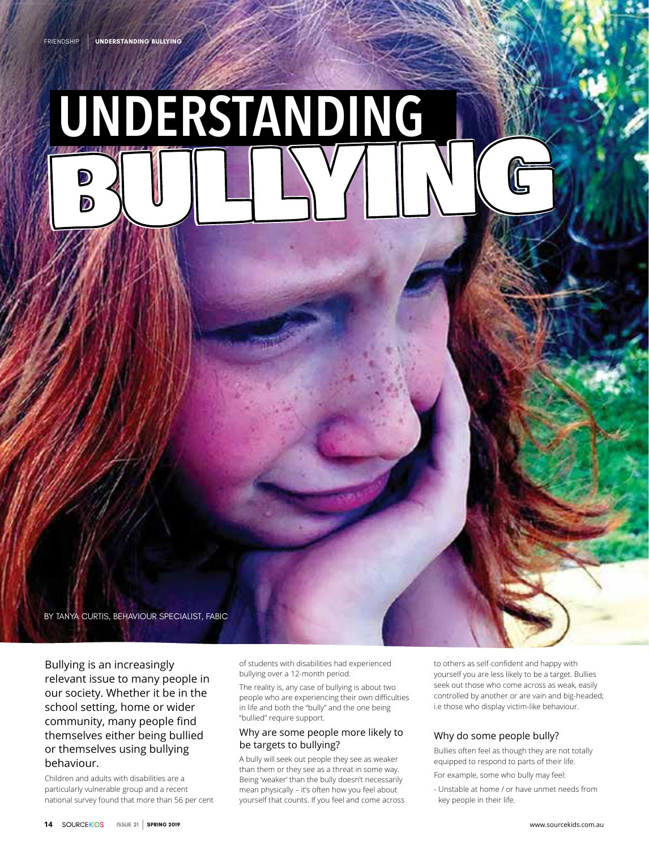# **UNDERSTANDING** BULLYING

BY TANYA CURTIS, BEHAVIOUR SPECIALIST, FABIC

Bullying is an increasingly relevant issue to many people in our society. Whether it be in the school setting, home or wider community, many people find themselves either being bullied or themselves using bullying behaviour.

Children and adults with disabilities are a particularly vulnerable group and a recent national survey found that more than 56 per cent of students with disabilities had experienced bullying over a 12-month period.

The reality is, any case of bullying is about two people who are experiencing their own difficulties in life and both the "bully" and the one being "bullied" require support.

#### Why are some people more likely to be targets to bullying?

A bully will seek out people they see as weaker than them or they see as a threat in some way. Being 'weaker' than the bully doesn't necessarily mean physically – it's often how you feel about yourself that counts. If you feel and come across

to others as self-confident and happy with yourself you are less likely to be a target. Bullies seek out those who come across as weak, easily controlled by another or are vain and big-headed; i.e those who display victim-like behaviour.

#### Why do some people bully?

Bullies often feel as though they are not totally equipped to respond to parts of their life.

For example, some who bully may feel:

- Unstable at home / or have unmet needs from key people in their life.